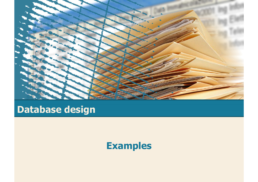

# **Database design**

### **Examples**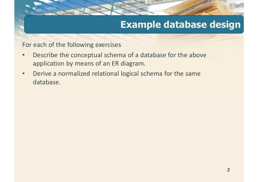## **Example database design**

For each of the following exercises

- • Describe the conceptual schema of a database for the above application by means of an ER diagram.
- • Derive a normalized relational logical schema for the same database.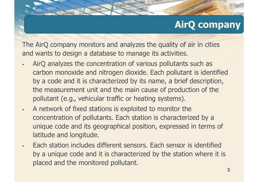#### **AirQ company**

The AirQ company monitors and analyzes the quality of air in cities and wants to design a database to manage its activities.

- • AirQ analyzes the concentration of various pollutants such as carbon monoxide and nitrogen dioxide. Each pollutant is identified by a code and it is characterized by its name, a brief description, the measurement unit and the main cause of production of the pollutant (e.g., vehicular traffic or heating systems).
	- A network of fixed stations is exploited to monitor the concentration of pollutants. Each station is characterized by a unique code and its geographical position, expressed in terms of latitude and longitude.

•

•

 Each station includes different sensors. Each sensor is identified by a unique code and it is characterized by the station where it is placed and the monitored pollutant.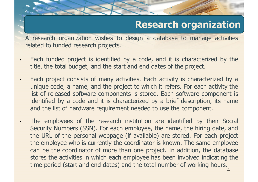## **Research organization**

<sup>A</sup> research organization wishes to design <sup>a</sup> database to manage activities related to funded research projects.

- • Each funded project is identified by <sup>a</sup> code, and it is characterized by the title, the total budget, and the start and end dates of the project.
- • Each project consists of many activities. Each activity is characterized by <sup>a</sup> unique code, <sup>a</sup> name, and the project to which it refers. For each activity the list of released software components is stored. Each software component is identified by <sup>a</sup> code and it is characterized by <sup>a</sup> brief description, its name and the list of hardware requirement needed to use the component.
	- The employees of the research institution are identified by their Social Security Numbers (SSN). For each employee, the name, the hiring date, and the URL of the personal webpage (if available) are stored. For each project the employee who is currently the coordinator is known. The same employee can be the coordinator of more than one project. In addition, the database stores the activities in which each employee has been involved indicating the time period (start and end dates) and the total number of working hours.

•